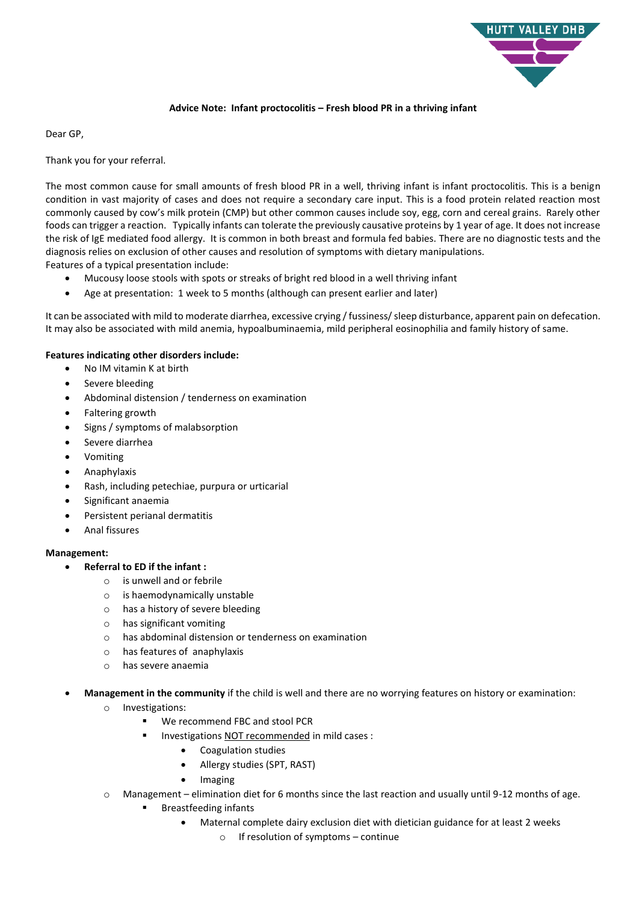

## **Advice Note: Infant proctocolitis – Fresh blood PR in a thriving infant**

Dear GP,

Thank you for your referral.

The most common cause for small amounts of fresh blood PR in a well, thriving infant is infant proctocolitis. This is a benign condition in vast majority of cases and does not require a secondary care input. This is a food protein related reaction most commonly caused by cow's milk protein (CMP) but other common causes include soy, egg, corn and cereal grains. Rarely other foods can trigger a reaction. Typically infants can tolerate the previously causative proteins by 1 year of age. It does not increase the risk of IgE mediated food allergy. It is common in both breast and formula fed babies. There are no diagnostic tests and the diagnosis relies on exclusion of other causes and resolution of symptoms with dietary manipulations. Features of a typical presentation include:

- Mucousy loose stools with spots or streaks of bright red blood in a well thriving infant
- Age at presentation: 1 week to 5 months (although can present earlier and later)

It can be associated with mild to moderate diarrhea, excessive crying / fussiness/ sleep disturbance, apparent pain on defecation. It may also be associated with mild anemia, hypoalbuminaemia, mild peripheral eosinophilia and family history of same.

## **Features indicating other disorders include:**

- No IM vitamin K at birth
- Severe bleeding
- Abdominal distension / tenderness on examination
- Faltering growth
- Signs / symptoms of malabsorption
- Severe diarrhea
- Vomiting
- Anaphylaxis
- Rash, including petechiae, purpura or urticarial
- Significant anaemia
- Persistent perianal dermatitis
- Anal fissures

## **Management:**

- **Referral to ED if the infant :**
	- o is unwell and or febrile
	- o is haemodynamically unstable
	- o has a history of severe bleeding
	- o has significant vomiting
	- o has abdominal distension or tenderness on examination
	- o has features of anaphylaxis
	- o has severe anaemia
- **Management in the community** if the child is well and there are no worrying features on history or examination:
	- o Investigations:
		- We recommend FBC and stool PCR
		- **Investigations NOT recommended in mild cases :** 
			- Coagulation studies
			- Allergy studies (SPT, RAST)
			- Imaging
	- $\circ$  Management elimination diet for 6 months since the last reaction and usually until 9-12 months of age.
		- Breastfeeding infants
			- Maternal complete dairy exclusion diet with dietician guidance for at least 2 weeks
				- o If resolution of symptoms continue